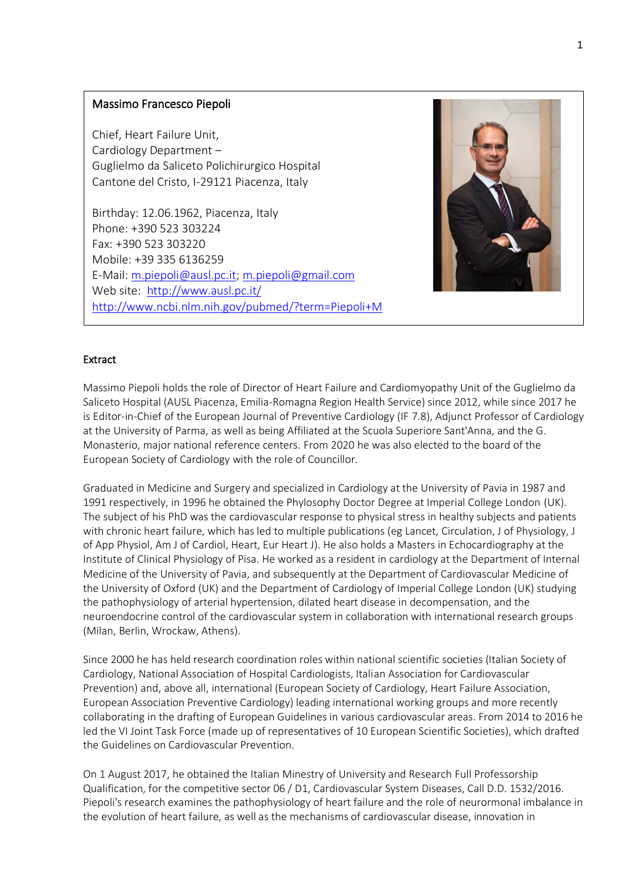# Massimo Francesco Piepoli

Chief, Heart Failure Unit, Cardiology Department – Guglielmo da Saliceto Polichirurgico Hospital Cantone del Cristo, I-29121 Piacenza, Italy

Birthday: 12.06.1962, Piacenza, Italy Phone: +390 523 303224 Fax: +390 523 303220 Mobile: +39 335 6136259 E-Mail: [m.piepoli@ausl.pc.it;](mailto:m.piepoli@ausl.pc.it) [m.piepoli@gmail.com](mailto:m.piepoli@gmail.com) Web site:<http://www.ausl.pc.it/> <http://www.ncbi.nlm.nih.gov/pubmed/?term=Piepoli+M>



# Extract

Massimo Piepoli holds the role of Director of Heart Failure and Cardiomyopathy Unit of the Guglielmo da Saliceto Hospital (AUSL Piacenza, Emilia-Romagna Region Health Service) since 2012, while since 2017 he is Editor-in-Chief of the European Journal of Preventive Cardiology (IF 7.8), Adjunct Professor of Cardiology at the University of Parma, as well as being Affiliated at the Scuola Superiore Sant'Anna, and the G. Monasterio, major national reference centers. From 2020 he was also elected to the board of the European Society of Cardiology with the role of Councillor.

Graduated in Medicine and Surgery and specialized in Cardiology at the University of Pavia in 1987 and 1991 respectively, in 1996 he obtained the Phylosophy Doctor Degree at Imperial College London (UK). The subject of his PhD was the cardiovascular response to physical stress in healthy subjects and patients with chronic heart failure, which has led to multiple publications (eg Lancet, Circulation, J of Physiology, J of App Physiol, Am J of Cardiol, Heart, Eur Heart J). He also holds a Masters in Echocardiography at the Institute of Clinical Physiology of Pisa. He worked as a resident in cardiology at the Department of Internal Medicine of the University of Pavia, and subsequently at the Department of Cardiovascular Medicine of the University of Oxford (UK) and the Department of Cardiology of Imperial College London (UK) studying the pathophysiology of arterial hypertension, dilated heart disease in decompensation, and the neuroendocrine control of the cardiovascular system in collaboration with international research groups (Milan, Berlin, Wrockaw, Athens).

Since 2000 he has held research coordination roles within national scientific societies (Italian Society of Cardiology, National Association of Hospital Cardiologists, Italian Association for Cardiovascular Prevention) and, above all, international (European Society of Cardiology, Heart Failure Association, European Association Preventive Cardiology) leading international working groups and more recently collaborating in the drafting of European Guidelines in various cardiovascular areas. From 2014 to 2016 he led the VI Joint Task Force (made up of representatives of 10 European Scientific Societies), which drafted the Guidelines on Cardiovascular Prevention.

On 1 August 2017, he obtained the Italian Minestry of University and Research Full Professorship Qualification, for the competitive sector 06 / D1, Cardiovascular System Diseases, Call D.D. 1532/2016. Piepoli's research examines the pathophysiology of heart failure and the role of neurormonal imbalance in the evolution of heart failure, as well as the mechanisms of cardiovascular disease, innovation in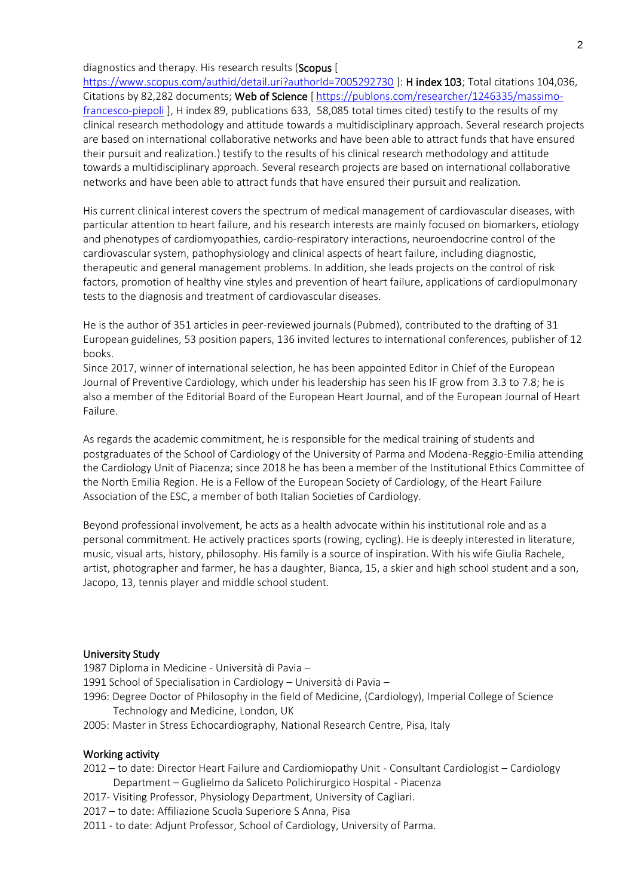### diagnostics and therapy. His research results (Scopus [

<https://www.scopus.com/authid/detail.uri?authorId=7005292730> ]: H index 103; Total citations 104,036, Citations by 82,282 documents; Web of Science [ [https://publons.com/researcher/1246335/massimo](https://publons.com/researcher/1246335/massimo-francesco-piepoli)[francesco-piepoli](https://publons.com/researcher/1246335/massimo-francesco-piepoli) ], H index 89, publications 633, 58,085 total times cited) testify to the results of my clinical research methodology and attitude towards a multidisciplinary approach. Several research projects are based on international collaborative networks and have been able to attract funds that have ensured their pursuit and realization.) testify to the results of his clinical research methodology and attitude towards a multidisciplinary approach. Several research projects are based on international collaborative networks and have been able to attract funds that have ensured their pursuit and realization.

His current clinical interest covers the spectrum of medical management of cardiovascular diseases, with particular attention to heart failure, and his research interests are mainly focused on biomarkers, etiology and phenotypes of cardiomyopathies, cardio-respiratory interactions, neuroendocrine control of the cardiovascular system, pathophysiology and clinical aspects of heart failure, including diagnostic, therapeutic and general management problems. In addition, she leads projects on the control of risk factors, promotion of healthy vine styles and prevention of heart failure, applications of cardiopulmonary tests to the diagnosis and treatment of cardiovascular diseases.

He is the author of 351 articles in peer-reviewed journals (Pubmed), contributed to the drafting of 31 European guidelines, 53 position papers, 136 invited lectures to international conferences, publisher of 12 books.

Since 2017, winner of international selection, he has been appointed Editor in Chief of the European Journal of Preventive Cardiology, which under his leadership has seen his IF grow from 3.3 to 7.8; he is also a member of the Editorial Board of the European Heart Journal, and of the European Journal of Heart Failure.

As regards the academic commitment, he is responsible for the medical training of students and postgraduates of the School of Cardiology of the University of Parma and Modena-Reggio-Emilia attending the Cardiology Unit of Piacenza; since 2018 he has been a member of the Institutional Ethics Committee of the North Emilia Region. He is a Fellow of the European Society of Cardiology, of the Heart Failure Association of the ESC, a member of both Italian Societies of Cardiology.

Beyond professional involvement, he acts as a health advocate within his institutional role and as a personal commitment. He actively practices sports (rowing, cycling). He is deeply interested in literature, music, visual arts, history, philosophy. His family is a source of inspiration. With his wife Giulia Rachele, artist, photographer and farmer, he has a daughter, Bianca, 15, a skier and high school student and a son, Jacopo, 13, tennis player and middle school student.

#### University Study

1987 Diploma in Medicine - Università di Pavia –

- 1991 School of Specialisation in Cardiology Università di Pavia –
- 1996: Degree Doctor of Philosophy in the field of Medicine, (Cardiology), Imperial College of Science Technology and Medicine, London, UK
- 2005: Master in Stress Echocardiography, National Research Centre, Pisa, Italy

#### Working activity

- 2012 to date: Director Heart Failure and Cardiomiopathy Unit Consultant Cardiologist Cardiology Department – Guglielmo da Saliceto Polichirurgico Hospital - Piacenza
- 2017- Visiting Professor, Physiology Department, University of Cagliari.
- 2017 to date: Affiliazione Scuola Superiore S Anna, Pisa
- 2011 to date: Adjunt Professor, School of Cardiology, University of Parma.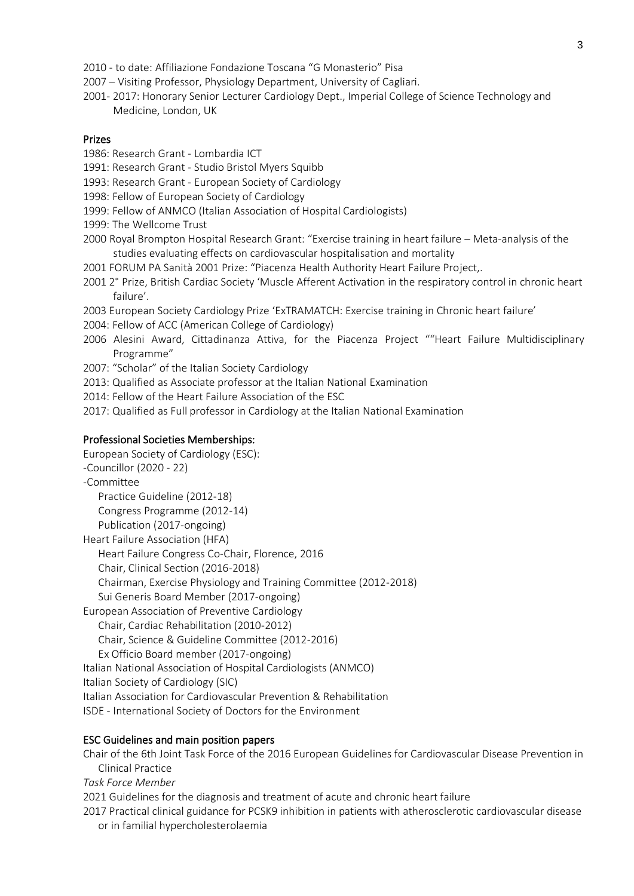- 2010 to date: Affiliazione Fondazione Toscana "G Monasterio" Pisa
- 2007 Visiting Professor, Physiology Department, University of Cagliari.
- 2001- 2017: Honorary Senior Lecturer Cardiology Dept., Imperial College of Science Technology and Medicine, London, UK

### Prizes

- 1986: Research Grant Lombardia ICT
- 1991: Research Grant Studio Bristol Myers Squibb
- 1993: Research Grant European Society of Cardiology
- 1998: Fellow of European Society of Cardiology
- 1999: Fellow of ANMCO (Italian Association of Hospital Cardiologists)
- 1999: The Wellcome Trust
- 2000 Royal Brompton Hospital Research Grant: "Exercise training in heart failure Meta-analysis of the studies evaluating effects on cardiovascular hospitalisation and mortality
- 2001 FORUM PA Sanità 2001 Prize: "Piacenza Health Authority Heart Failure Project,.
- 2001 2° Prize, British Cardiac Society 'Muscle Afferent Activation in the respiratory control in chronic heart failure'.
- 2003 European Society Cardiology Prize 'ExTRAMATCH: Exercise training in Chronic heart failure'
- 2004: Fellow of ACC (American College of Cardiology)
- 2006 Alesini Award, Cittadinanza Attiva, for the Piacenza Project ""Heart Failure Multidisciplinary Programme"
- 2007: "Scholar" of the Italian Society Cardiology
- 2013: Qualified as Associate professor at the Italian National Examination
- 2014: Fellow of the Heart Failure Association of the ESC
- 2017: Qualified as Full professor in Cardiology at the Italian National Examination

### Professional Societies Memberships:

European Society of Cardiology (ESC): -Councillor (2020 - 22) -Committee Practice Guideline (2012-18) Congress Programme (2012-14) Publication (2017-ongoing) Heart Failure Association (HFA) Heart Failure Congress Co-Chair, Florence, 2016 Chair, Clinical Section (2016-2018) Chairman, Exercise Physiology and Training Committee (2012-2018) Sui Generis Board Member (2017-ongoing) European Association of Preventive Cardiology Chair, Cardiac Rehabilitation (2010-2012) Chair, Science & Guideline Committee (2012-2016) Ex Officio Board member (2017-ongoing) Italian National Association of Hospital Cardiologists (ANMCO) Italian Society of Cardiology (SIC) Italian Association for Cardiovascular Prevention & Rehabilitation ISDE - International Society of Doctors for the Environment

# ESC Guidelines and main position papers

Chair of the 6th Joint Task Force of the 2016 European Guidelines for Cardiovascular Disease Prevention in Clinical Practice

*Task Force Member*

2021 Guidelines for the diagnosis and treatment of acute and chronic heart failure

2017 Practical clinical guidance for PCSK9 inhibition in patients with atherosclerotic cardiovascular disease or in familial hypercholesterolaemia